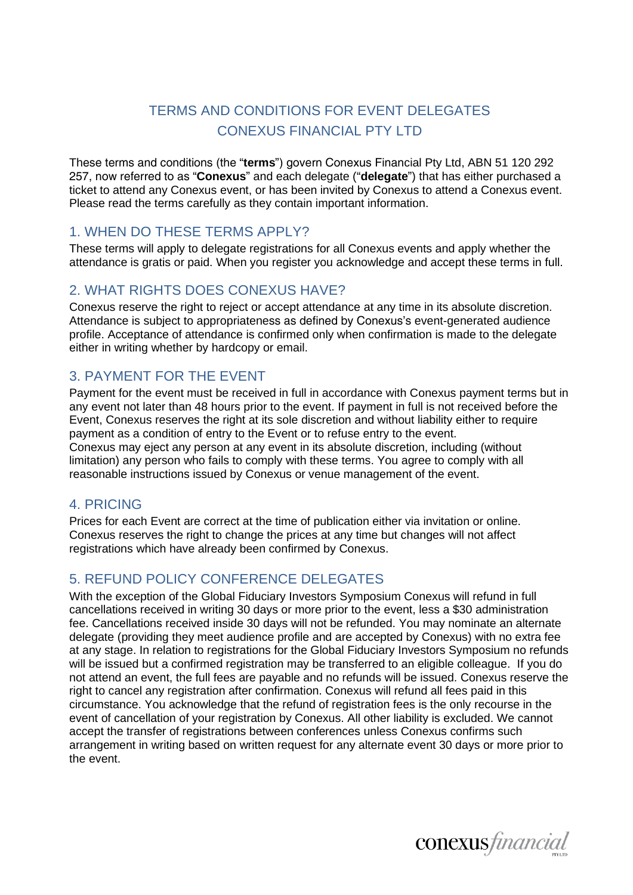# TERMS AND CONDITIONS FOR EVENT DELEGATES CONEXUS FINANCIAL PTY LTD

These terms and conditions (the "**terms**") govern Conexus Financial Pty Ltd, ABN 51 120 292 257, now referred to as "**Conexus**" and each delegate ("**delegate**") that has either purchased a ticket to attend any Conexus event, or has been invited by Conexus to attend a Conexus event. Please read the terms carefully as they contain important information.

## 1. WHEN DO THESE TERMS APPLY?

These terms will apply to delegate registrations for all Conexus events and apply whether the attendance is gratis or paid. When you register you acknowledge and accept these terms in full.

# 2. WHAT RIGHTS DOES CONEXUS HAVE?

Conexus reserve the right to reject or accept attendance at any time in its absolute discretion. Attendance is subject to appropriateness as defined by Conexus's event-generated audience profile. Acceptance of attendance is confirmed only when confirmation is made to the delegate either in writing whether by hardcopy or email.

## 3. PAYMENT FOR THE EVENT

Payment for the event must be received in full in accordance with Conexus payment terms but in any event not later than 48 hours prior to the event. If payment in full is not received before the Event, Conexus reserves the right at its sole discretion and without liability either to require payment as a condition of entry to the Event or to refuse entry to the event. Conexus may eject any person at any event in its absolute discretion, including (without limitation) any person who fails to comply with these terms. You agree to comply with all reasonable instructions issued by Conexus or venue management of the event.

## 4. PRICING

Prices for each Event are correct at the time of publication either via invitation or online. Conexus reserves the right to change the prices at any time but changes will not affect registrations which have already been confirmed by Conexus.

## 5. REFUND POLICY CONFERENCE DELEGATES

With the exception of the Global Fiduciary Investors Symposium Conexus will refund in full cancellations received in writing 30 days or more prior to the event, less a \$30 administration fee. Cancellations received inside 30 days will not be refunded. You may nominate an alternate delegate (providing they meet audience profile and are accepted by Conexus) with no extra fee at any stage. In relation to registrations for the Global Fiduciary Investors Symposium no refunds will be issued but a confirmed registration may be transferred to an eligible colleague. If you do not attend an event, the full fees are payable and no refunds will be issued. Conexus reserve the right to cancel any registration after confirmation. Conexus will refund all fees paid in this circumstance. You acknowledge that the refund of registration fees is the only recourse in the event of cancellation of your registration by Conexus. All other liability is excluded. We cannot accept the transfer of registrations between conferences unless Conexus confirms such arrangement in writing based on written request for any alternate event 30 days or more prior to the event.

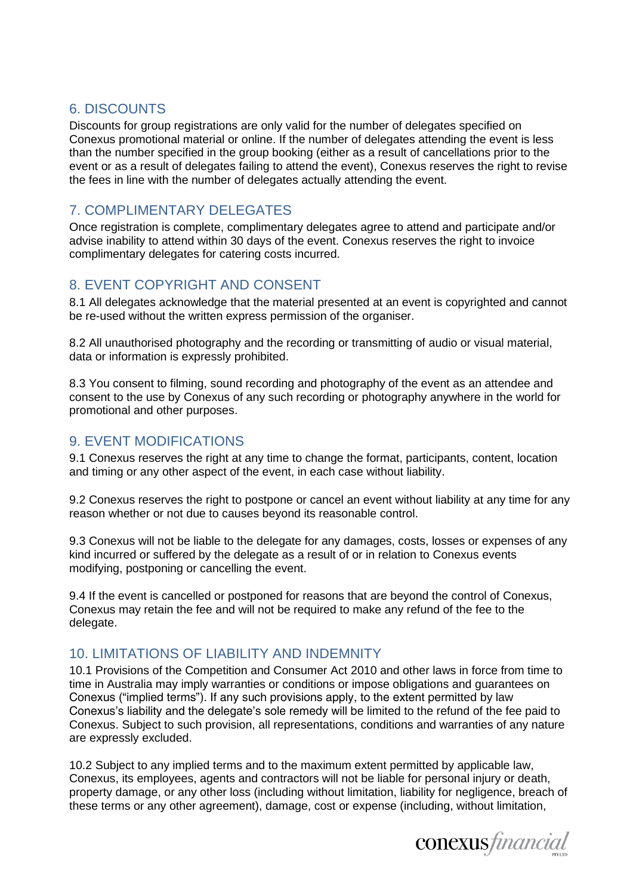## 6. DISCOUNTS

Discounts for group registrations are only valid for the number of delegates specified on Conexus promotional material or online. If the number of delegates attending the event is less than the number specified in the group booking (either as a result of cancellations prior to the event or as a result of delegates failing to attend the event), Conexus reserves the right to revise the fees in line with the number of delegates actually attending the event.

## 7. COMPLIMENTARY DELEGATES

Once registration is complete, complimentary delegates agree to attend and participate and/or advise inability to attend within 30 days of the event. Conexus reserves the right to invoice complimentary delegates for catering costs incurred.

# 8. EVENT COPYRIGHT AND CONSENT

8.1 All delegates acknowledge that the material presented at an event is copyrighted and cannot be re-used without the written express permission of the organiser.

8.2 All unauthorised photography and the recording or transmitting of audio or visual material, data or information is expressly prohibited.

8.3 You consent to filming, sound recording and photography of the event as an attendee and consent to the use by Conexus of any such recording or photography anywhere in the world for promotional and other purposes.

# 9. EVENT MODIFICATIONS

9.1 Conexus reserves the right at any time to change the format, participants, content, location and timing or any other aspect of the event, in each case without liability.

9.2 Conexus reserves the right to postpone or cancel an event without liability at any time for any reason whether or not due to causes beyond its reasonable control.

9.3 Conexus will not be liable to the delegate for any damages, costs, losses or expenses of any kind incurred or suffered by the delegate as a result of or in relation to Conexus events modifying, postponing or cancelling the event.

9.4 If the event is cancelled or postponed for reasons that are beyond the control of Conexus, Conexus may retain the fee and will not be required to make any refund of the fee to the delegate.

## 10. LIMITATIONS OF LIABILITY AND INDEMNITY

10.1 Provisions of the *Competition and Consumer Act* 2010 and other laws in force from time to time in Australia may imply warranties or conditions or impose obligations and guarantees on Conexus ("implied terms"). If any such provisions apply, to the extent permitted by law Conexus's liability and the delegate's sole remedy will be limited to the refund of the fee paid to Conexus. Subject to such provision, all representations, conditions and warranties of any nature are expressly excluded.

10.2 Subject to any implied terms and to the maximum extent permitted by applicable law, Conexus, its employees, agents and contractors will not be liable for personal injury or death, property damage, or any other loss (including without limitation, liability for negligence, breach of these terms or any other agreement), damage, cost or expense (including, without limitation,

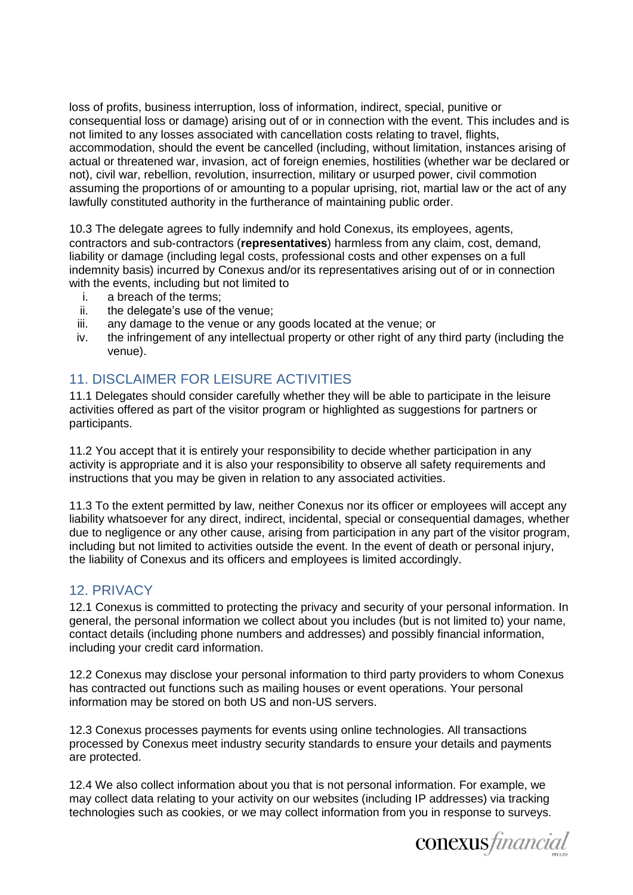loss of profits, business interruption, loss of information, indirect, special, punitive or consequential loss or damage) arising out of or in connection with the event. This includes and is not limited to any losses associated with cancellation costs relating to travel, flights, accommodation, should the event be cancelled (including, without limitation, instances arising of actual or threatened war, invasion, act of foreign enemies, hostilities (whether war be declared or not), civil war, rebellion, revolution, insurrection, military or usurped power, civil commotion assuming the proportions of or amounting to a popular uprising, riot, martial law or the act of any lawfully constituted authority in the furtherance of maintaining public order.

10.3 The delegate agrees to fully indemnify and hold Conexus, its employees, agents, contractors and sub-contractors (**representatives**) harmless from any claim, cost, demand, liability or damage (including legal costs, professional costs and other expenses on a full indemnity basis) incurred by Conexus and/or its representatives arising out of or in connection with the events, including but not limited to

- i. a breach of the terms;
- ii. the delegate's use of the venue;
- iii. any damage to the venue or any goods located at the venue; or
- iv. the infringement of any intellectual property or other right of any third party (including the venue).

# 11. DISCLAIMER FOR LEISURE ACTIVITIES

11.1 Delegates should consider carefully whether they will be able to participate in the leisure activities offered as part of the visitor program or highlighted as suggestions for partners or participants.

11.2 You accept that it is entirely your responsibility to decide whether participation in any activity is appropriate and it is also your responsibility to observe all safety requirements and instructions that you may be given in relation to any associated activities.

11.3 To the extent permitted by law, neither Conexus nor its officer or employees will accept any liability whatsoever for any direct, indirect, incidental, special or consequential damages, whether due to negligence or any other cause, arising from participation in any part of the visitor program, including but not limited to activities outside the event. In the event of death or personal injury, the liability of Conexus and its officers and employees is limited accordingly.

## 12. PRIVACY

12.1 Conexus is committed to protecting the privacy and security of your personal information. In general, the personal information we collect about you includes (but is not limited to) your name, contact details (including phone numbers and addresses) and possibly financial information, including your credit card information.

12.2 Conexus may disclose your personal information to third party providers to whom Conexus has contracted out functions such as mailing houses or event operations. Your personal information may be stored on both US and non-US servers.

12.3 Conexus processes payments for events using online technologies. All transactions processed by Conexus meet industry security standards to ensure your details and payments are protected.

12.4 We also collect information about you that is not personal information. For example, we may collect data relating to your activity on our websites (including IP addresses) via tracking technologies such as cookies, or we may collect information from you in response to surveys.